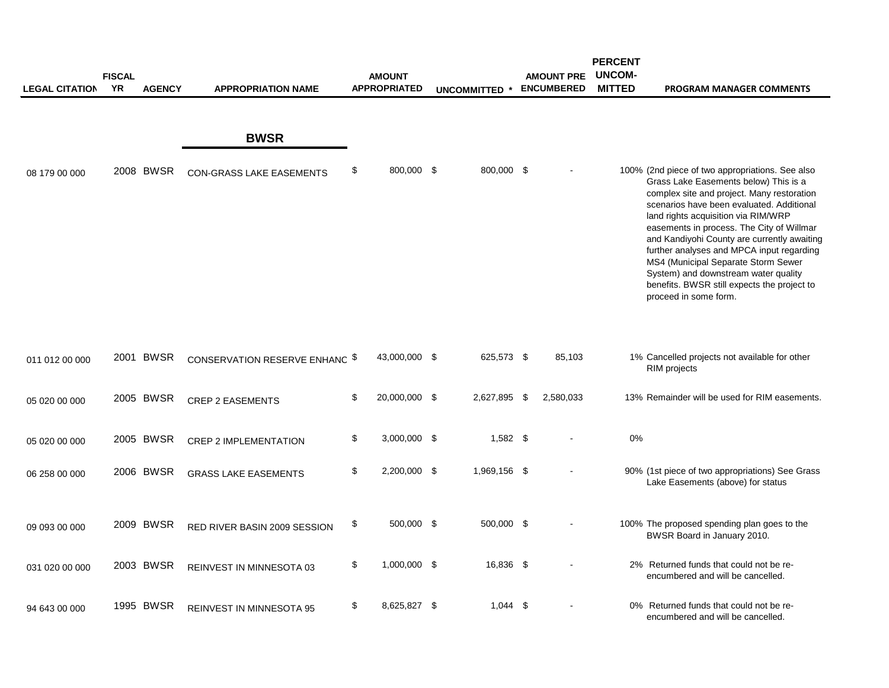|                       | <b>FISCAL</b> |               |                                 | <b>AMOUNT</b>       |                      | <b>AMOUNT PRE</b> | <b>PERCENT</b><br><b>UNCOM-</b> |                                                                                                                                                                                                                                                                                                                                                                                                                                                                                                                            |
|-----------------------|---------------|---------------|---------------------------------|---------------------|----------------------|-------------------|---------------------------------|----------------------------------------------------------------------------------------------------------------------------------------------------------------------------------------------------------------------------------------------------------------------------------------------------------------------------------------------------------------------------------------------------------------------------------------------------------------------------------------------------------------------------|
| <b>LEGAL CITATION</b> | YR            | <b>AGENCY</b> | <b>APPROPRIATION NAME</b>       | <b>APPROPRIATED</b> | <b>UNCOMMITTED *</b> | <b>ENCUMBERED</b> | <b>MITTED</b>                   | PROGRAM MANAGER COMMENTS                                                                                                                                                                                                                                                                                                                                                                                                                                                                                                   |
|                       |               |               | <b>BWSR</b>                     |                     |                      |                   |                                 |                                                                                                                                                                                                                                                                                                                                                                                                                                                                                                                            |
| 08 179 00 000         |               | 2008 BWSR     | <b>CON-GRASS LAKE EASEMENTS</b> | \$<br>800,000 \$    | 800,000 \$           |                   |                                 | 100% (2nd piece of two appropriations. See also<br>Grass Lake Easements below) This is a<br>complex site and project. Many restoration<br>scenarios have been evaluated. Additional<br>land rights acquisition via RIM/WRP<br>easements in process. The City of Willmar<br>and Kandiyohi County are currently awaiting<br>further analyses and MPCA input regarding<br>MS4 (Municipal Separate Storm Sewer<br>System) and downstream water quality<br>benefits. BWSR still expects the project to<br>proceed in some form. |
| 011 012 00 000        |               | 2001 BWSR     | CONSERVATION RESERVE ENHANC \$  | 43,000,000 \$       | 625,573 \$           | 85,103            |                                 | 1% Cancelled projects not available for other<br>RIM projects                                                                                                                                                                                                                                                                                                                                                                                                                                                              |
| 05 020 00 000         |               | 2005 BWSR     | <b>CREP 2 EASEMENTS</b>         | \$<br>20,000,000 \$ | 2,627,895 \$         | 2,580,033         |                                 | 13% Remainder will be used for RIM easements.                                                                                                                                                                                                                                                                                                                                                                                                                                                                              |
| 05 020 00 000         |               | 2005 BWSR     | <b>CREP 2 IMPLEMENTATION</b>    | \$<br>3,000,000 \$  | $1,582$ \$           |                   | 0%                              |                                                                                                                                                                                                                                                                                                                                                                                                                                                                                                                            |
| 06 258 00 000         |               | 2006 BWSR     | <b>GRASS LAKE EASEMENTS</b>     | \$<br>2,200,000 \$  | 1,969,156 \$         |                   |                                 | 90% (1st piece of two appropriations) See Grass<br>Lake Easements (above) for status                                                                                                                                                                                                                                                                                                                                                                                                                                       |
| 09 093 00 000         |               | 2009 BWSR     | RED RIVER BASIN 2009 SESSION    | \$<br>500,000 \$    | 500,000 \$           |                   |                                 | 100% The proposed spending plan goes to the<br>BWSR Board in January 2010.                                                                                                                                                                                                                                                                                                                                                                                                                                                 |
| 031 020 00 000        |               | 2003 BWSR     | REINVEST IN MINNESOTA 03        | \$<br>1,000,000 \$  | 16,836 \$            |                   |                                 | 2% Returned funds that could not be re-<br>encumbered and will be cancelled.                                                                                                                                                                                                                                                                                                                                                                                                                                               |
| 94 643 00 000         |               | 1995 BWSR     | REINVEST IN MINNESOTA 95        | \$<br>8,625,827 \$  | $1,044$ \$           |                   |                                 | 0% Returned funds that could not be re-<br>encumbered and will be cancelled.                                                                                                                                                                                                                                                                                                                                                                                                                                               |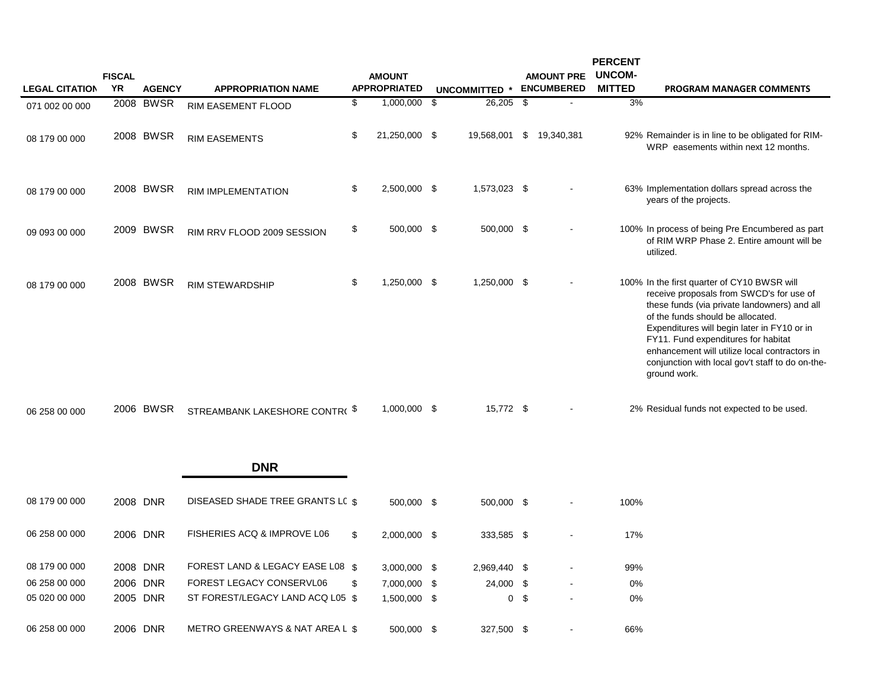|                       | <b>FISCAL</b> |               |                                  | <b>AMOUNT</b>       |               |                | <b>AMOUNT PRE</b> | <b>PERCENT</b><br><b>UNCOM-</b> |                                                                                                                                                                                                                                                                                                                                                                                         |
|-----------------------|---------------|---------------|----------------------------------|---------------------|---------------|----------------|-------------------|---------------------------------|-----------------------------------------------------------------------------------------------------------------------------------------------------------------------------------------------------------------------------------------------------------------------------------------------------------------------------------------------------------------------------------------|
| <b>LEGAL CITATION</b> | YR            | <b>AGENCY</b> | <b>APPROPRIATION NAME</b>        | <b>APPROPRIATED</b> | UNCOMMITTED * |                | <b>ENCUMBERED</b> | <b>MITTED</b>                   | <b>PROGRAM MANAGER COMMENTS</b>                                                                                                                                                                                                                                                                                                                                                         |
| 071 002 00 000        |               | 2008 BWSR     | RIM EASEMENT FLOOD               | \$<br>1,000,000 \$  | $26,205$ \$   |                |                   | 3%                              |                                                                                                                                                                                                                                                                                                                                                                                         |
| 08 179 00 000         |               | 2008 BWSR     | <b>RIM EASEMENTS</b>             | \$<br>21,250,000 \$ | 19,568,001    |                | \$ 19,340,381     |                                 | 92% Remainder is in line to be obligated for RIM-<br>WRP easements within next 12 months.                                                                                                                                                                                                                                                                                               |
| 08 179 00 000         |               | 2008 BWSR     | <b>RIM IMPLEMENTATION</b>        | \$<br>2,500,000 \$  | 1,573,023 \$  |                |                   |                                 | 63% Implementation dollars spread across the<br>years of the projects.                                                                                                                                                                                                                                                                                                                  |
| 09 093 00 000         |               | 2009 BWSR     | RIM RRV FLOOD 2009 SESSION       | \$<br>500,000 \$    | 500,000 \$    |                |                   |                                 | 100% In process of being Pre Encumbered as part<br>of RIM WRP Phase 2. Entire amount will be<br>utilized.                                                                                                                                                                                                                                                                               |
| 08 179 00 000         |               | 2008 BWSR     | <b>RIM STEWARDSHIP</b>           | \$<br>1,250,000 \$  | 1,250,000 \$  |                |                   |                                 | 100% In the first quarter of CY10 BWSR will<br>receive proposals from SWCD's for use of<br>these funds (via private landowners) and all<br>of the funds should be allocated.<br>Expenditures will begin later in FY10 or in<br>FY11. Fund expenditures for habitat<br>enhancement will utilize local contractors in<br>conjunction with local gov't staff to do on-the-<br>ground work. |
| 06 258 00 000         |               | 2006 BWSR     | STREAMBANK LAKESHORE CONTR(\$    | 1,000,000 \$        | 15,772 \$     |                |                   |                                 | 2% Residual funds not expected to be used.                                                                                                                                                                                                                                                                                                                                              |
|                       |               |               | <b>DNR</b>                       |                     |               |                |                   |                                 |                                                                                                                                                                                                                                                                                                                                                                                         |
| 08 179 00 000         |               | 2008 DNR      | DISEASED SHADE TREE GRANTS LC \$ | 500,000 \$          | 500,000 \$    |                |                   | 100%                            |                                                                                                                                                                                                                                                                                                                                                                                         |
| 06 258 00 000         | 2006 DNR      |               | FISHERIES ACQ & IMPROVE L06      | \$<br>2,000,000 \$  | 333,585 \$    |                |                   | 17%                             |                                                                                                                                                                                                                                                                                                                                                                                         |
| 08 179 00 000         | 2008 DNR      |               | FOREST LAND & LEGACY EASE L08 \$ | 3,000,000 \$        | 2,969,440 \$  |                |                   | 99%                             |                                                                                                                                                                                                                                                                                                                                                                                         |
| 06 258 00 000         |               | 2006 DNR      | FOREST LEGACY CONSERVL06         | \$<br>7,000,000 \$  | 24,000 \$     |                |                   | 0%                              |                                                                                                                                                                                                                                                                                                                                                                                         |
| 05 020 00 000         |               | 2005 DNR      | ST FOREST/LEGACY LAND ACQ L05 \$ | 1,500,000 \$        |               | 0 <sup>5</sup> |                   | 0%                              |                                                                                                                                                                                                                                                                                                                                                                                         |

06 258 00 000 2006 DNR METRO GREENWAYS & NAT AREA L \$ 500,000 \$ 327,500 \$ - 66%